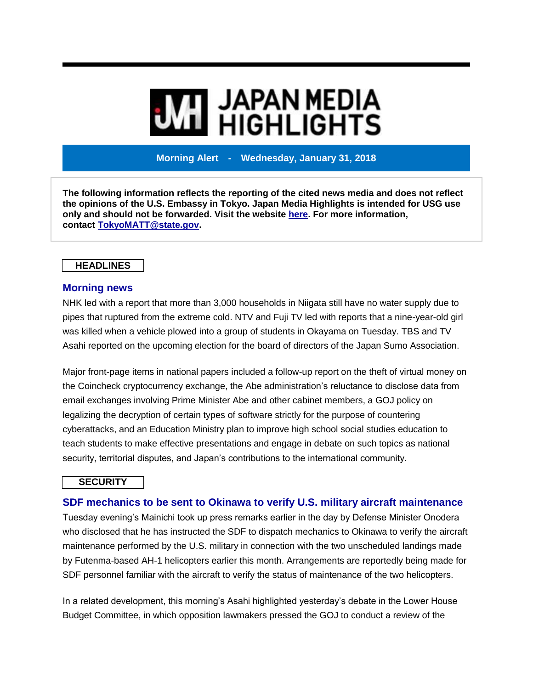# **WI JAPAN MEDIA<br>WI HIGHLIGHTS**

**Morning Alert - Wednesday, January 31, 2018**

**The following information reflects the reporting of the cited news media and does not reflect the opinions of the U.S. Embassy in Tokyo. Japan Media Highlights is intended for USG use only and should not be forwarded. Visit the website [here.](https://jmh.usembassy.gov/) For more information, contact [TokyoMATT@state.gov.](mailto:TokyoMATT@state.gov)**

## **HEADLINES**

#### **Morning news**

NHK led with a report that more than 3,000 households in Niigata still have no water supply due to pipes that ruptured from the extreme cold. NTV and Fuji TV led with reports that a nine-year-old girl was killed when a vehicle plowed into a group of students in Okayama on Tuesday. TBS and TV Asahi reported on the upcoming election for the board of directors of the Japan Sumo Association.

Major front-page items in national papers included a follow-up report on the theft of virtual money on the Coincheck cryptocurrency exchange, the Abe administration's reluctance to disclose data from email exchanges involving Prime Minister Abe and other cabinet members, a GOJ policy on legalizing the decryption of certain types of software strictly for the purpose of countering cyberattacks, and an Education Ministry plan to improve high school social studies education to teach students to make effective presentations and engage in debate on such topics as national security, territorial disputes, and Japan's contributions to the international community.

## **SECURITY**

# **SDF mechanics to be sent to Okinawa to verify U.S. military aircraft maintenance**

Tuesday evening's Mainichi took up press remarks earlier in the day by Defense Minister Onodera who disclosed that he has instructed the SDF to dispatch mechanics to Okinawa to verify the aircraft maintenance performed by the U.S. military in connection with the two unscheduled landings made by Futenma-based AH-1 helicopters earlier this month. Arrangements are reportedly being made for SDF personnel familiar with the aircraft to verify the status of maintenance of the two helicopters.

In a related development, this morning's Asahi highlighted yesterday's debate in the Lower House Budget Committee, in which opposition lawmakers pressed the GOJ to conduct a review of the